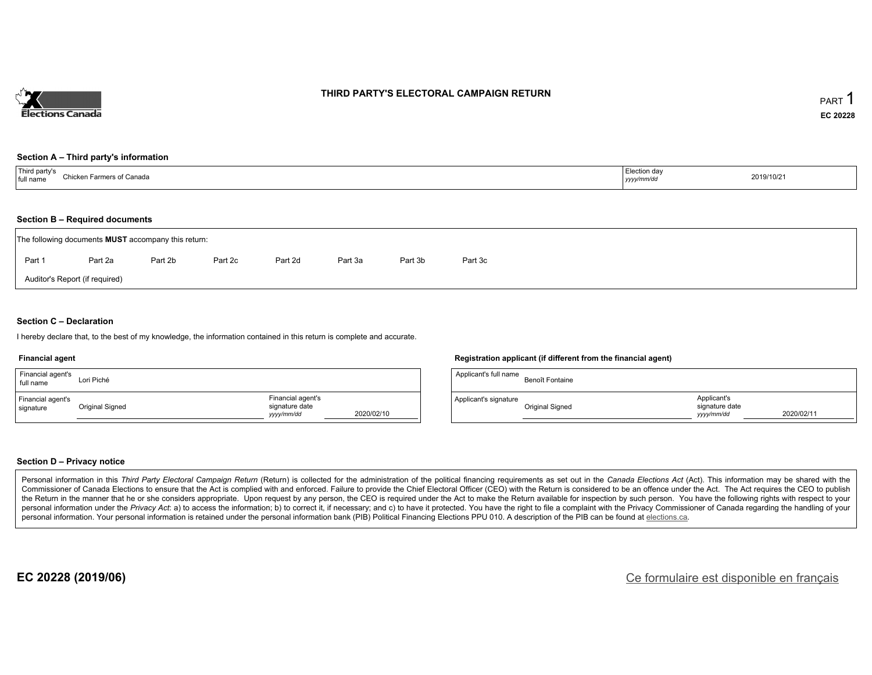

### **THIRD PARTY'S ELECTORAL CAMPAIGN RETURN**

#### **Section A – Third party's information**

| TTL:<br>rd party's<br>$^\circ$ hicken.<br>ers of Canada.<br>full name<br>- - - - - - - - - | ∟lection da∨<br>2019/10/21<br>yyyymm/ar |  |
|--------------------------------------------------------------------------------------------|-----------------------------------------|--|
|--------------------------------------------------------------------------------------------|-----------------------------------------|--|

### **Section B – Required documents**

|        | The following documents <b>MUST</b> accompany this return: |         |         |         |         |         |         |  |  |  |  |  |
|--------|------------------------------------------------------------|---------|---------|---------|---------|---------|---------|--|--|--|--|--|
| Part 1 | Part 2a                                                    | Part 2b | Part 2c | Part 2d | Part 3a | Part 3b | Part 3c |  |  |  |  |  |
|        | Auditor's Report (if required)                             |         |         |         |         |         |         |  |  |  |  |  |

### **Section C – Declaration**

I hereby declare that, to the best of my knowledge, the information contained in this return is complete and accurate.

#### **Financial agent**

| Financial agent's<br>full name | Lori Piché      |                                                  |            |
|--------------------------------|-----------------|--------------------------------------------------|------------|
| Financial agent's<br>signature | Original Signed | Financial agent's<br>signature date<br>vyy/mm/dd | 2020/02/10 |

#### **Registration applicant (if different from the financial agent)**

| Applicant's full name | Benoît Fontaine |                                             |            |
|-----------------------|-----------------|---------------------------------------------|------------|
| Applicant's signature | Original Signed | Applicant's<br>signature date<br>vyyy/mm/dd | 2020/02/11 |

### **Section D – Privacy notice**

Personal information in this Third Party Electoral Campaign Return (Return) is collected for the administration of the political financing requirements as set out in the Canada Elections Act (Act). This information may be Commissioner of Canada Elections to ensure that the Act is complied with and enforced. Failure to provide the Chief Electoral Officer (CEO) with the Return is considered to be an offence under the Act. The Act requires the the Return in the manner that he or she considers appropriate. Upon request by any person, the CEO is required under the Act to make the Return available for inspection by such person. You have the following rights with re personal information under the Privacy Act: a) to access the information; b) to correct it, if necessary; and c) to have it protected. You have the right to file a complaint with the Privacy Commissioner of Canada regardin personal information. Your personal information is retained under the personal information bank (PIB) Political Financing Elections PPU 010. A description of the PIB can be found at elections.ca.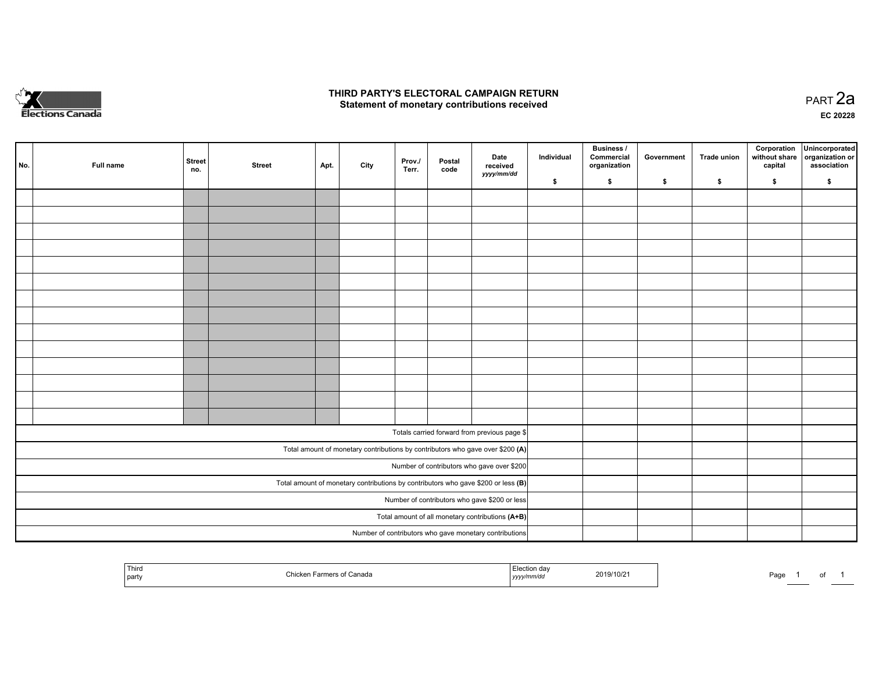

## **THIRD PARTY'S ELECTORAL CAMPAIGN RETURN HIRD PARTY'S ELECTORAL CAMPAIGN RETURN<br>Statement of monetary contributions received PART 2a PART 2a**

**EC 20228**

| No. | Full name | <b>Street</b><br>no. | <b>Street</b> | Apt. | City | Prov./<br>Terr. | Postal<br>code | Date<br>received                                                                    | Individual | <b>Business /</b><br>Commercial<br>organization | Government | Trade union | Corporation<br>without share<br>capital | Unincorporated<br>organization or<br>association |
|-----|-----------|----------------------|---------------|------|------|-----------------|----------------|-------------------------------------------------------------------------------------|------------|-------------------------------------------------|------------|-------------|-----------------------------------------|--------------------------------------------------|
|     |           |                      |               |      |      |                 |                | yyyy/mm/dd                                                                          | \$         | \$                                              | \$         | \$          | \$                                      | \$                                               |
|     |           |                      |               |      |      |                 |                |                                                                                     |            |                                                 |            |             |                                         |                                                  |
|     |           |                      |               |      |      |                 |                |                                                                                     |            |                                                 |            |             |                                         |                                                  |
|     |           |                      |               |      |      |                 |                |                                                                                     |            |                                                 |            |             |                                         |                                                  |
|     |           |                      |               |      |      |                 |                |                                                                                     |            |                                                 |            |             |                                         |                                                  |
|     |           |                      |               |      |      |                 |                |                                                                                     |            |                                                 |            |             |                                         |                                                  |
|     |           |                      |               |      |      |                 |                |                                                                                     |            |                                                 |            |             |                                         |                                                  |
|     |           |                      |               |      |      |                 |                |                                                                                     |            |                                                 |            |             |                                         |                                                  |
|     |           |                      |               |      |      |                 |                |                                                                                     |            |                                                 |            |             |                                         |                                                  |
|     |           |                      |               |      |      |                 |                |                                                                                     |            |                                                 |            |             |                                         |                                                  |
|     |           |                      |               |      |      |                 |                |                                                                                     |            |                                                 |            |             |                                         |                                                  |
|     |           |                      |               |      |      |                 |                |                                                                                     |            |                                                 |            |             |                                         |                                                  |
|     |           |                      |               |      |      |                 |                |                                                                                     |            |                                                 |            |             |                                         |                                                  |
|     |           |                      |               |      |      |                 |                |                                                                                     |            |                                                 |            |             |                                         |                                                  |
|     |           |                      |               |      |      |                 |                |                                                                                     |            |                                                 |            |             |                                         |                                                  |
|     |           |                      |               |      |      |                 |                | Totals carried forward from previous page \$                                        |            |                                                 |            |             |                                         |                                                  |
|     |           |                      |               |      |      |                 |                | Total amount of monetary contributions by contributors who gave over \$200 (A)      |            |                                                 |            |             |                                         |                                                  |
|     |           |                      |               |      |      |                 |                | Number of contributors who gave over \$200                                          |            |                                                 |            |             |                                         |                                                  |
|     |           |                      |               |      |      |                 |                | Total amount of monetary contributions by contributors who gave \$200 or less $(B)$ |            |                                                 |            |             |                                         |                                                  |
|     |           |                      |               |      |      |                 |                | Number of contributors who gave \$200 or less                                       |            |                                                 |            |             |                                         |                                                  |
|     |           |                      |               |      |      |                 |                | Total amount of all monetary contributions (A+B)                                    |            |                                                 |            |             |                                         |                                                  |
|     |           |                      |               |      |      |                 |                | Number of contributors who gave monetary contributions                              |            |                                                 |            |             |                                         |                                                  |

| Third<br>  party | anada | ,,,,, | 2019/10/2 | Page |  | $\cdot$ |  |
|------------------|-------|-------|-----------|------|--|---------|--|
|------------------|-------|-------|-----------|------|--|---------|--|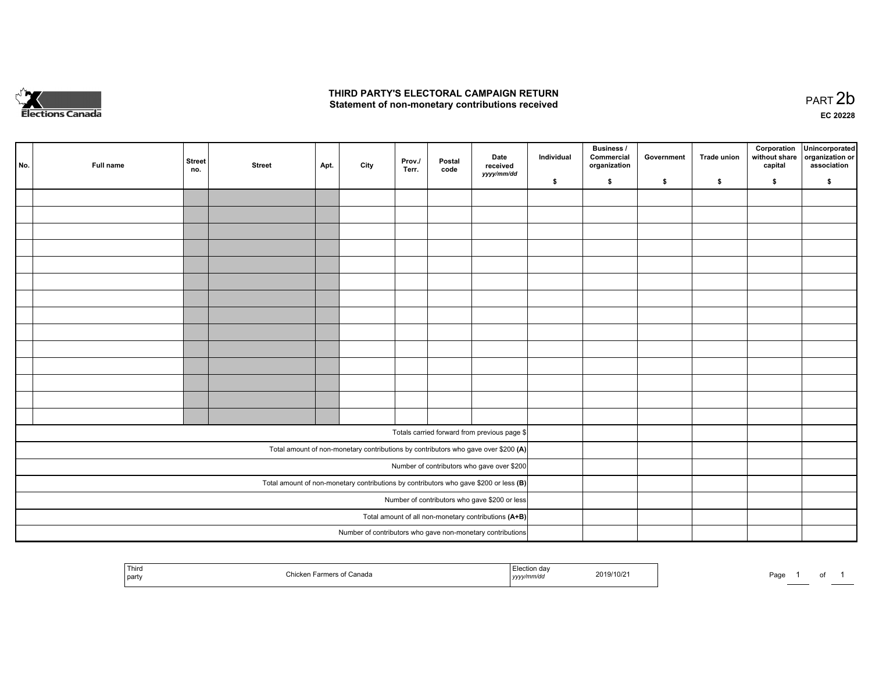

## **THIRD PARTY'S ELECTORAL CAMPAIGN RETURN**  THIRD PARTY'S ELECTORAL CAMPAIGN RETURN<br>Statement of non-monetary contributions received

of 1

| No. | Full name | Street<br>no. | <b>Street</b> | Apt. | City | Prov./<br>Terr. | Postal<br>code | Date<br>received<br>yyyy/mm/dd                                                          | Individual | <b>Business /</b><br>Commercial<br>organization | Government | Trade union | Corporation<br>without share<br>capital | Unincorporated<br>organization or<br>association |
|-----|-----------|---------------|---------------|------|------|-----------------|----------------|-----------------------------------------------------------------------------------------|------------|-------------------------------------------------|------------|-------------|-----------------------------------------|--------------------------------------------------|
|     |           |               |               |      |      |                 |                |                                                                                         | \$         | \$                                              | \$         | \$          | \$                                      | \$                                               |
|     |           |               |               |      |      |                 |                |                                                                                         |            |                                                 |            |             |                                         |                                                  |
|     |           |               |               |      |      |                 |                |                                                                                         |            |                                                 |            |             |                                         |                                                  |
|     |           |               |               |      |      |                 |                |                                                                                         |            |                                                 |            |             |                                         |                                                  |
|     |           |               |               |      |      |                 |                |                                                                                         |            |                                                 |            |             |                                         |                                                  |
|     |           |               |               |      |      |                 |                |                                                                                         |            |                                                 |            |             |                                         |                                                  |
|     |           |               |               |      |      |                 |                |                                                                                         |            |                                                 |            |             |                                         |                                                  |
|     |           |               |               |      |      |                 |                |                                                                                         |            |                                                 |            |             |                                         |                                                  |
|     |           |               |               |      |      |                 |                |                                                                                         |            |                                                 |            |             |                                         |                                                  |
|     |           |               |               |      |      |                 |                |                                                                                         |            |                                                 |            |             |                                         |                                                  |
|     |           |               |               |      |      |                 |                |                                                                                         |            |                                                 |            |             |                                         |                                                  |
|     |           |               |               |      |      |                 |                |                                                                                         |            |                                                 |            |             |                                         |                                                  |
|     |           |               |               |      |      |                 |                |                                                                                         |            |                                                 |            |             |                                         |                                                  |
|     |           |               |               |      |      |                 |                |                                                                                         |            |                                                 |            |             |                                         |                                                  |
|     |           |               |               |      |      |                 |                |                                                                                         |            |                                                 |            |             |                                         |                                                  |
|     |           |               |               |      |      |                 |                |                                                                                         |            |                                                 |            |             |                                         |                                                  |
|     |           |               |               |      |      |                 |                | Totals carried forward from previous page \$                                            |            |                                                 |            |             |                                         |                                                  |
|     |           |               |               |      |      |                 |                | Total amount of non-monetary contributions by contributors who gave over \$200 (A)      |            |                                                 |            |             |                                         |                                                  |
|     |           |               |               |      |      |                 |                | Number of contributors who gave over \$200                                              |            |                                                 |            |             |                                         |                                                  |
|     |           |               |               |      |      |                 |                | Total amount of non-monetary contributions by contributors who gave \$200 or less $(B)$ |            |                                                 |            |             |                                         |                                                  |
|     |           |               |               |      |      |                 |                | Number of contributors who gave \$200 or less                                           |            |                                                 |            |             |                                         |                                                  |
|     |           |               |               |      |      |                 |                | Total amount of all non-monetary contributions (A+B)                                    |            |                                                 |            |             |                                         |                                                  |
|     |           |               |               |      |      |                 |                | Number of contributors who gave non-monetary contributions                              |            |                                                 |            |             |                                         |                                                  |
|     |           |               |               |      |      |                 |                |                                                                                         |            |                                                 |            |             |                                         |                                                  |

| Third<br>  party | <i>r</i> armers<br>f Canada<br>ers ∩⊺ | ulon dav<br>yyyy/mm/dd | 2019/10/21 | Page | <b>Contract Contract</b> |
|------------------|---------------------------------------|------------------------|------------|------|--------------------------|
|------------------|---------------------------------------|------------------------|------------|------|--------------------------|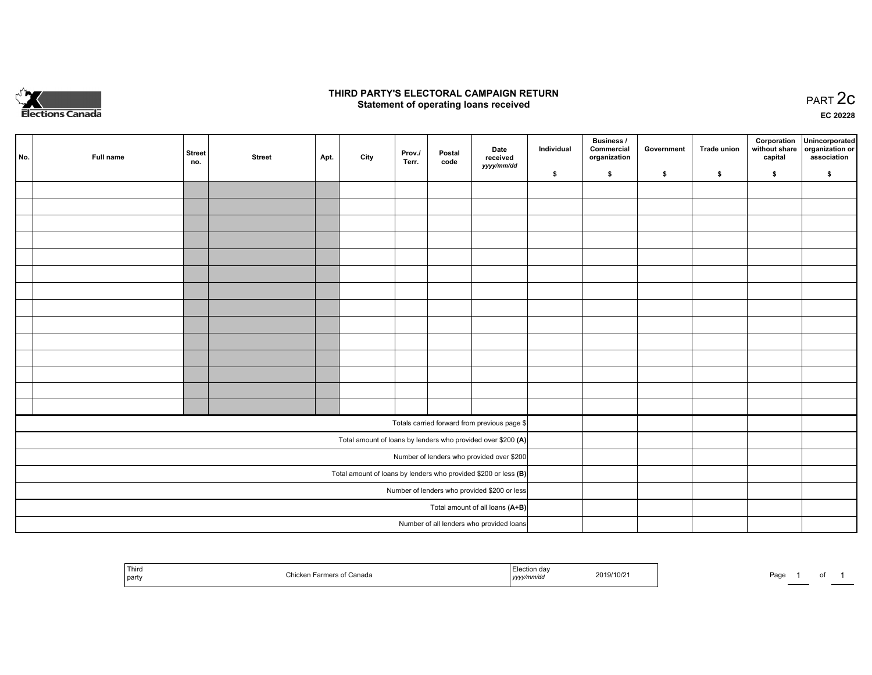

## **THIRD PARTY'S ELECTORAL CAMPAIGN RETURN STATE:** PRACT OF OPPRESS TO PART 2C STATE STATE STATE STATE STATE STATE STATE STATE STATE STATE STATE STATE STA<br>PART 2C Statement of operating loans received

**EC 20228**

| No. | Full name | <b>Street</b><br>no. | <b>Street</b> | Apt. | City | Prov./<br>Terr. | Postal<br>code | Date<br>received                                                | Individual | <b>Business /</b><br>Commercial<br>organization | Government | <b>Trade union</b> | Corporation<br>capital | Unincorporated<br>without share   organization or<br>association |
|-----|-----------|----------------------|---------------|------|------|-----------------|----------------|-----------------------------------------------------------------|------------|-------------------------------------------------|------------|--------------------|------------------------|------------------------------------------------------------------|
|     |           |                      |               |      |      |                 |                | yyyy/mm/dd                                                      | \$         | \$                                              | \$         | \$                 | \$                     | \$                                                               |
|     |           |                      |               |      |      |                 |                |                                                                 |            |                                                 |            |                    |                        |                                                                  |
|     |           |                      |               |      |      |                 |                |                                                                 |            |                                                 |            |                    |                        |                                                                  |
|     |           |                      |               |      |      |                 |                |                                                                 |            |                                                 |            |                    |                        |                                                                  |
|     |           |                      |               |      |      |                 |                |                                                                 |            |                                                 |            |                    |                        |                                                                  |
|     |           |                      |               |      |      |                 |                |                                                                 |            |                                                 |            |                    |                        |                                                                  |
|     |           |                      |               |      |      |                 |                |                                                                 |            |                                                 |            |                    |                        |                                                                  |
|     |           |                      |               |      |      |                 |                |                                                                 |            |                                                 |            |                    |                        |                                                                  |
|     |           |                      |               |      |      |                 |                |                                                                 |            |                                                 |            |                    |                        |                                                                  |
|     |           |                      |               |      |      |                 |                |                                                                 |            |                                                 |            |                    |                        |                                                                  |
|     |           |                      |               |      |      |                 |                |                                                                 |            |                                                 |            |                    |                        |                                                                  |
|     |           |                      |               |      |      |                 |                |                                                                 |            |                                                 |            |                    |                        |                                                                  |
|     |           |                      |               |      |      |                 |                |                                                                 |            |                                                 |            |                    |                        |                                                                  |
|     |           |                      |               |      |      |                 |                |                                                                 |            |                                                 |            |                    |                        |                                                                  |
|     |           |                      |               |      |      |                 |                |                                                                 |            |                                                 |            |                    |                        |                                                                  |
|     |           |                      |               |      |      |                 |                | Totals carried forward from previous page \$                    |            |                                                 |            |                    |                        |                                                                  |
|     |           |                      |               |      |      |                 |                | Total amount of loans by lenders who provided over \$200 (A)    |            |                                                 |            |                    |                        |                                                                  |
|     |           |                      |               |      |      |                 |                | Number of lenders who provided over \$200                       |            |                                                 |            |                    |                        |                                                                  |
|     |           |                      |               |      |      |                 |                | Total amount of loans by lenders who provided \$200 or less (B) |            |                                                 |            |                    |                        |                                                                  |
|     |           |                      |               |      |      |                 |                | Number of lenders who provided \$200 or less                    |            |                                                 |            |                    |                        |                                                                  |
|     |           |                      |               |      |      |                 |                | Total amount of all loans (A+B)                                 |            |                                                 |            |                    |                        |                                                                  |
|     |           |                      |               |      |      |                 |                | Number of all lenders who provided loans                        |            |                                                 |            |                    |                        |                                                                  |

| Third<br>I party | Canada<br>:hicker | — I.<br>$\sim$<br>.JUUII Udv<br>2019/10/2<br>, yyyy/mm/dd | Page |
|------------------|-------------------|-----------------------------------------------------------|------|
|------------------|-------------------|-----------------------------------------------------------|------|

of 1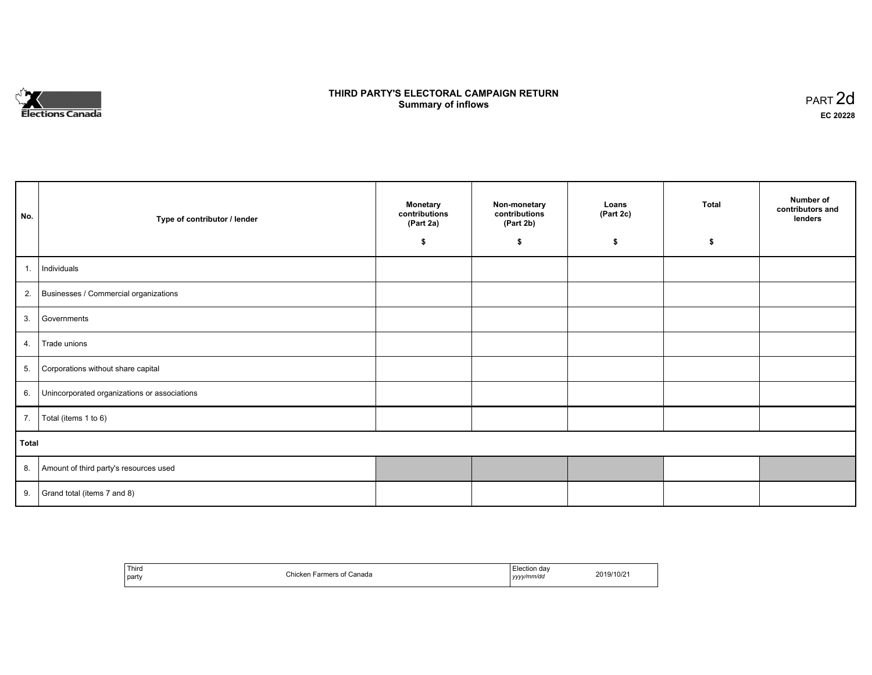

# **THIRD PARTY'S ELECTORAL CAMPAIGN RETURN S** ELECTORAL CAMPAIGN RETURN<br>Summary of inflows PART 2d

| No.   | Type of contributor / lender                    | <b>Monetary</b><br>contributions<br>(Part 2a)<br>\$ | Non-monetary<br>contributions<br>(Part 2b)<br>\$ | Loans<br>(Part 2c)<br>\$ | <b>Total</b><br>\$ | Number of<br>contributors and<br>lenders |
|-------|-------------------------------------------------|-----------------------------------------------------|--------------------------------------------------|--------------------------|--------------------|------------------------------------------|
|       |                                                 |                                                     |                                                  |                          |                    |                                          |
| 1.    | Individuals                                     |                                                     |                                                  |                          |                    |                                          |
|       | 2. Businesses / Commercial organizations        |                                                     |                                                  |                          |                    |                                          |
|       | 3. Governments                                  |                                                     |                                                  |                          |                    |                                          |
| 4.    | Trade unions                                    |                                                     |                                                  |                          |                    |                                          |
| 5.    | Corporations without share capital              |                                                     |                                                  |                          |                    |                                          |
|       | 6. Unincorporated organizations or associations |                                                     |                                                  |                          |                    |                                          |
| 7.    | Total (items 1 to 6)                            |                                                     |                                                  |                          |                    |                                          |
| Total |                                                 |                                                     |                                                  |                          |                    |                                          |
|       | 8. Amount of third party's resources used       |                                                     |                                                  |                          |                    |                                          |
|       | 9. Grand total (items $7$ and $8$ )             |                                                     |                                                  |                          |                    |                                          |

| ' Third<br>party<br>and the control of the con- | *امنطا*<br>`anada<br>Farmers u.<br>unt | <i>≟</i> lection dav<br>.<br>yyyy/mm/da<br>,,,, | 2019/10/21 |
|-------------------------------------------------|----------------------------------------|-------------------------------------------------|------------|
|-------------------------------------------------|----------------------------------------|-------------------------------------------------|------------|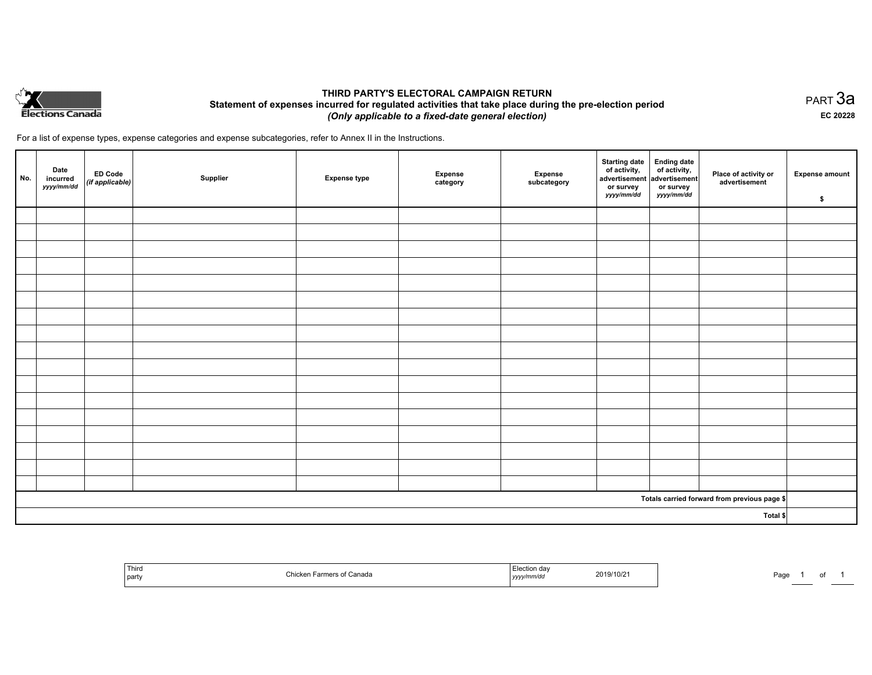

## **THIRD PARTY'S ELECTORAL CAMPAIGN RETURN Statement of expenses incurred for regulated activities that take place during the pre-election period**  *(Only applicable to a fixed-date general election)*

For a list of expense types, expense categories and expense subcategories, refer to Annex II in the Instructions.

| No.      | Date<br>incurred<br>yyyy/mm/dd | <b>ED Code</b><br>$\big $ (if applicable) | Supplier | <b>Expense type</b> | <b>Expense</b><br>category | Expense<br>subcategory | <b>Starting date</b><br>of activity,<br>advertisement<br>or survey<br>yyyy/mm/dd | Ending date<br>of activity,<br>advertisement<br>or survey<br>yyyy/mm/dd | Place of activity or<br>advertisement        | <b>Expense amount</b><br>\$ |
|----------|--------------------------------|-------------------------------------------|----------|---------------------|----------------------------|------------------------|----------------------------------------------------------------------------------|-------------------------------------------------------------------------|----------------------------------------------|-----------------------------|
|          |                                |                                           |          |                     |                            |                        |                                                                                  |                                                                         |                                              |                             |
|          |                                |                                           |          |                     |                            |                        |                                                                                  |                                                                         |                                              |                             |
|          |                                |                                           |          |                     |                            |                        |                                                                                  |                                                                         |                                              |                             |
|          |                                |                                           |          |                     |                            |                        |                                                                                  |                                                                         |                                              |                             |
|          |                                |                                           |          |                     |                            |                        |                                                                                  |                                                                         |                                              |                             |
|          |                                |                                           |          |                     |                            |                        |                                                                                  |                                                                         |                                              |                             |
|          |                                |                                           |          |                     |                            |                        |                                                                                  |                                                                         |                                              |                             |
|          |                                |                                           |          |                     |                            |                        |                                                                                  |                                                                         |                                              |                             |
|          |                                |                                           |          |                     |                            |                        |                                                                                  |                                                                         |                                              |                             |
|          |                                |                                           |          |                     |                            |                        |                                                                                  |                                                                         |                                              |                             |
|          |                                |                                           |          |                     |                            |                        |                                                                                  |                                                                         |                                              |                             |
|          |                                |                                           |          |                     |                            |                        |                                                                                  |                                                                         |                                              |                             |
|          |                                |                                           |          |                     |                            |                        |                                                                                  |                                                                         |                                              |                             |
|          |                                |                                           |          |                     |                            |                        |                                                                                  |                                                                         |                                              |                             |
|          |                                |                                           |          |                     |                            |                        |                                                                                  |                                                                         |                                              |                             |
|          |                                |                                           |          |                     |                            |                        |                                                                                  |                                                                         |                                              |                             |
|          |                                |                                           |          |                     |                            |                        |                                                                                  |                                                                         |                                              |                             |
|          |                                |                                           |          |                     |                            |                        |                                                                                  |                                                                         | Totals carried forward from previous page \$ |                             |
| Total \$ |                                |                                           |          |                     |                            |                        |                                                                                  |                                                                         |                                              |                             |

| Third<br>party | : Canada<br>…nickr<br>orr | 2019/10/2<br>yyyymmvao | Page |
|----------------|---------------------------|------------------------|------|
|----------------|---------------------------|------------------------|------|

PART 3a **EC 20228**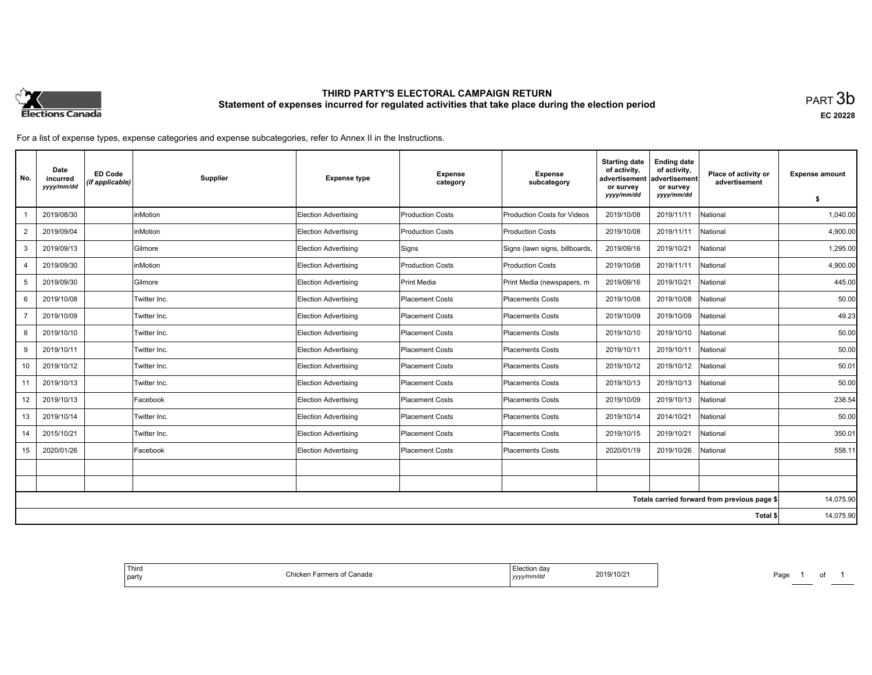

# **THIRD PARTY'S ELECTORAL CAMPAIGN RETURN Statement of expenses incurred for regulated activities that take place during the election period**<br>PART  $3\mathsf{b}$

**EC 20228**

For a list of expense types, expense categories and expense subcategories, refer to Annex II in the Instructions.

| No.                                          | Date<br>incurred<br>yyyy/mm/dd | <b>ED Code</b><br>(if applicable) | Supplier     | <b>Expense type</b>         | <b>Expense</b><br>category | <b>Expense</b><br>subcategory      | <b>Starting date</b><br>of activity.<br>advertisement<br>or survey | <b>Ending date</b><br>of activity,<br>advertisement<br>or survey | Place of activity or<br>advertisement | <b>Expense amount</b> |
|----------------------------------------------|--------------------------------|-----------------------------------|--------------|-----------------------------|----------------------------|------------------------------------|--------------------------------------------------------------------|------------------------------------------------------------------|---------------------------------------|-----------------------|
|                                              |                                |                                   |              |                             |                            |                                    | yyyy/mm/dd                                                         | yyyy/mm/dd                                                       |                                       | \$                    |
|                                              | 2019/08/30                     |                                   | inMotion     | <b>Election Advertising</b> | <b>Production Costs</b>    | <b>Production Costs for Videos</b> | 2019/10/08                                                         | 2019/11/11                                                       | National                              | 1,040.00              |
| $\overline{2}$                               | 2019/09/04                     |                                   | inMotion     | <b>Election Advertising</b> | <b>Production Costs</b>    | <b>Production Costs</b>            | 2019/10/08                                                         | 2019/11/11                                                       | National                              | 4,900.00              |
| 3                                            | 2019/09/13                     |                                   | Gilmore      | <b>Election Advertising</b> | Signs                      | Signs (lawn signs, billboards,     | 2019/09/16                                                         | 2019/10/21                                                       | National                              | 1.295.00              |
| 4                                            | 2019/09/30                     |                                   | inMotion     | <b>Election Advertising</b> | <b>Production Costs</b>    | <b>Production Costs</b>            | 2019/10/08                                                         | 2019/11/11                                                       | National                              | 4,900.00              |
| 5                                            | 2019/09/30                     |                                   | Gilmore      | Election Advertising        | Print Media                | Print Media (newspapers, m         | 2019/09/16                                                         | 2019/10/21                                                       | National                              | 445.00                |
| 6                                            | 2019/10/08                     |                                   | Twitter Inc. | Election Advertising        | Placement Costs            | <b>Placements Costs</b>            | 2019/10/08                                                         | 2019/10/08                                                       | National                              | 50.00                 |
| $\overline{7}$                               | 2019/10/09                     |                                   | Twitter Inc. | <b>Election Advertising</b> | Placement Costs            | <b>Placements Costs</b>            | 2019/10/09                                                         | 2019/10/09                                                       | National                              | 49.23                 |
| 8                                            | 2019/10/10                     |                                   | Twitter Inc. | <b>Election Advertising</b> | Placement Costs            | <b>Placements Costs</b>            | 2019/10/10                                                         | 2019/10/10                                                       | National                              | 50.00                 |
| 9                                            | 2019/10/11                     |                                   | Twitter Inc. | Election Advertising        | Placement Costs            | <b>Placements Costs</b>            | 2019/10/11                                                         | 2019/10/11                                                       | National                              | 50.00                 |
| 10                                           | 2019/10/12                     |                                   | Twitter Inc. | <b>Election Advertising</b> | Placement Costs            | <b>Placements Costs</b>            | 2019/10/12                                                         | 2019/10/12                                                       | National                              | 50.01                 |
| 11                                           | 2019/10/13                     |                                   | Twitter Inc. | <b>Election Advertising</b> | Placement Costs            | <b>Placements Costs</b>            | 2019/10/13                                                         | 2019/10/13                                                       | National                              | 50.00                 |
| 12                                           | 2019/10/13                     |                                   | Facebook     | Election Advertising        | Placement Costs            | <b>Placements Costs</b>            | 2019/10/09                                                         | 2019/10/13                                                       | National                              | 238.54                |
| 13                                           | 2019/10/14                     |                                   | Twitter Inc. | <b>Election Advertising</b> | Placement Costs            | <b>Placements Costs</b>            | 2019/10/14                                                         | 2014/10/21                                                       | National                              | 50.00                 |
| 14                                           | 2015/10/21                     |                                   | Twitter Inc. | <b>Election Advertising</b> | Placement Costs            | <b>Placements Costs</b>            | 2019/10/15                                                         | 2019/10/21                                                       | National                              | 350.01                |
| 15                                           | 2020/01/26                     |                                   | Facebook     | <b>Election Advertising</b> | Placement Costs            | <b>Placements Costs</b>            | 2020/01/19                                                         | 2019/10/26                                                       | National                              | 558.11                |
|                                              |                                |                                   |              |                             |                            |                                    |                                                                    |                                                                  |                                       |                       |
|                                              |                                |                                   |              |                             |                            |                                    |                                                                    |                                                                  |                                       |                       |
| Totals carried forward from previous page \$ |                                |                                   |              |                             |                            |                                    | 14,075.90                                                          |                                                                  |                                       |                       |
| Total \$                                     |                                |                                   |              |                             |                            |                                    | 14,075.90                                                          |                                                                  |                                       |                       |

| 2019/10/2 | спон оа<br>hada<br>-arme<br>- - -<br>1m/de<br>.<br>,,,,, |
|-----------|----------------------------------------------------------|
|-----------|----------------------------------------------------------|

Page 1 of 1